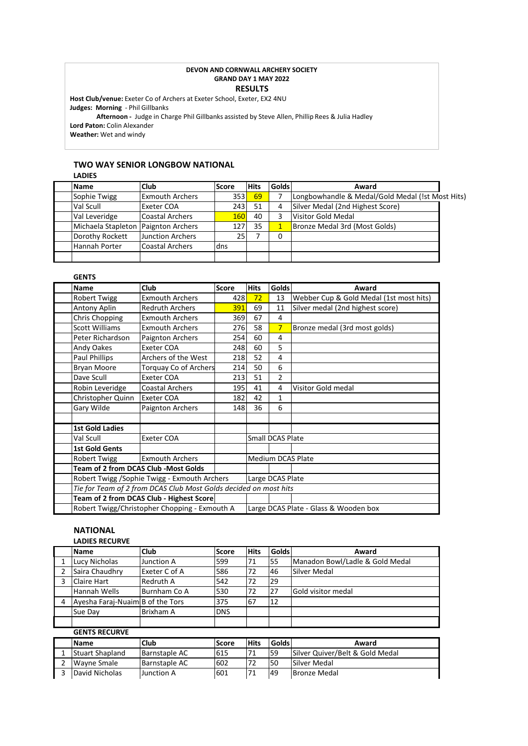#### **DEVON AND CORNWALL ARCHERY SOCIETY GRAND DAY 1 MAY 2022 RESULTS**

**Host Club/venue:** Exeter Co of Archers at Exeter School, Exeter, EX2 4NU **Judges: Morning** - Phil Gillbanks

**Afternoon -** Judge in Charge Phil Gillbanks assisted by Steve Allen, Phillip Rees & Julia Hadley **Lord Paton:** Colin Alexander **Weather:** Wet and windy

# **TWO WAY SENIOR LONGBOW NATIONAL**

| LAVILS                              |                         |            |             |              |                                                  |  |
|-------------------------------------|-------------------------|------------|-------------|--------------|--------------------------------------------------|--|
| <b>Name</b>                         | <b>Club</b>             | Score      | <b>Hits</b> | <b>Golds</b> | Award                                            |  |
| Sophie Twigg                        | <b>Exmouth Archers</b>  |            | $353$ 69    |              | Longbowhandle & Medal/Gold Medal (!st Most Hits) |  |
| Val Scull                           | <b>Exeter COA</b>       |            | 243 51      | 4            | Silver Medal (2nd Highest Score)                 |  |
| Val Leveridge                       | <b>Coastal Archers</b>  | <b>160</b> | 40          | 3            | Visitor Gold Medal                               |  |
| Michaela Stapleton Paignton Archers |                         | 127        | -35         |              | Bronze Medal 3rd (Most Golds)                    |  |
| Dorothy Rockett                     | <b>Junction Archers</b> | 251        |             | 0            |                                                  |  |
| Hannah Porter                       | <b>Coastal Archers</b>  | ldns       |             |              |                                                  |  |
|                                     |                         |            |             |              |                                                  |  |

# **GENTS**

**LADIES**

| <b>Name</b>                                                      | <b>Club</b>                                   | <b>Score</b> | <b>Hits</b> | <b>Golds</b>     | Award                                   |
|------------------------------------------------------------------|-----------------------------------------------|--------------|-------------|------------------|-----------------------------------------|
| <b>Robert Twigg</b>                                              | <b>Exmouth Archers</b>                        | 428          | 72          | 13               | Webber Cup & Gold Medal (1st most hits) |
| Antony Aplin                                                     | <b>Redruth Archers</b>                        | 391          | 69          | 11               | Silver medal (2nd highest score)        |
| Chris Chopping                                                   | <b>Exmouth Archers</b>                        | 369          | 67          | 4                |                                         |
| <b>Scott Williams</b>                                            | <b>Exmouth Archers</b>                        | 276          | 58          | $7\overline{ }$  | Bronze medal (3rd most golds)           |
| Peter Richardson                                                 | Paignton Archers                              | 254          | 60          | 4                |                                         |
| Andy Oakes                                                       | Exeter COA                                    | 248          | 60          | 5                |                                         |
| Paul Phillips                                                    | Archers of the West                           | 218          | 52          | 4                |                                         |
| Bryan Moore                                                      | <b>Torquay Co of Archers</b>                  | 214          | 50          | 6                |                                         |
| Dave Scull                                                       | Exeter COA                                    | 213          | 51          | $\overline{2}$   |                                         |
| Robin Leveridge                                                  | <b>Coastal Archers</b>                        | 195          | 41          | 4                | Visitor Gold medal                      |
| Christopher Quinn                                                | <b>Exeter COA</b>                             | 182          | 42          | $\mathbf{1}$     |                                         |
| Gary Wilde                                                       | Paignton Archers                              | 148          | 36          | 6                |                                         |
|                                                                  |                                               |              |             |                  |                                         |
| <b>1st Gold Ladies</b>                                           |                                               |              |             |                  |                                         |
| Val Scull                                                        | Exeter COA                                    |              |             | Small DCAS Plate |                                         |
| <b>1st Gold Gents</b>                                            |                                               |              |             |                  |                                         |
| <b>Robert Twigg</b>                                              | <b>Exmouth Archers</b>                        |              |             |                  | Medium DCAS Plate                       |
| <b>Team of 2 from DCAS Club -Most Golds</b>                      |                                               |              |             |                  |                                         |
| Robert Twigg /Sophie Twigg - Exmouth Archers                     |                                               |              |             | Large DCAS Plate |                                         |
| Tie for Team of 2 from DCAS Club Most Golds decided on most hits |                                               |              |             |                  |                                         |
|                                                                  | Team of 2 from DCAS Club - Highest Score      |              |             |                  |                                         |
|                                                                  | Robert Twigg/Christopher Chopping - Exmouth A |              |             |                  | Large DCAS Plate - Glass & Wooden box   |

# **NATIONAL LADIES RECURVE**

|   | <b>Name</b>                      | <b>Club</b>          | <b>Score</b> | <b>Hits</b> | <b>Golds</b> | Award                           |
|---|----------------------------------|----------------------|--------------|-------------|--------------|---------------------------------|
| 1 | Lucy Nicholas                    | Junction A           | 599          | 71          | 55           | Manadon Bowl/Ladle & Gold Medal |
| 2 | Saira Chaudhry                   | Exeter C of A        | 586          | 72          | 46           | Silver Medal                    |
| 3 | <b>Claire Hart</b>               | <b>Redruth A</b>     | 542          | 72          | 29           |                                 |
|   | Hannah Wells                     | Burnham Co A         | 530          | 72          | 27           | Gold visitor medal              |
| 4 | Ayesha Faraj-Nuaim B of the Tors |                      | 375          | 67          | 12           |                                 |
|   | Sue Day                          | <b>Brixham A</b>     | <b>DNS</b>   |             |              |                                 |
|   | <b>GENTS RECURVE</b>             |                      |              |             |              |                                 |
|   | <b>Name</b>                      | <b>Club</b>          | <b>Score</b> | <b>Hits</b> | <b>Golds</b> | Award                           |
| 1 | <b>Stuart Shapland</b>           | <b>Barnstaple AC</b> | 615          | 71          | 59           | Silver Quiver/Belt & Gold Medal |
| 2 | <b>Wayne Smale</b>               | <b>Barnstaple AC</b> | 602          | 72          | 50           | Silver Medal                    |
| 3 | David Nicholas                   | Junction A           | 601          | 71          | 49           | <b>Bronze Medal</b>             |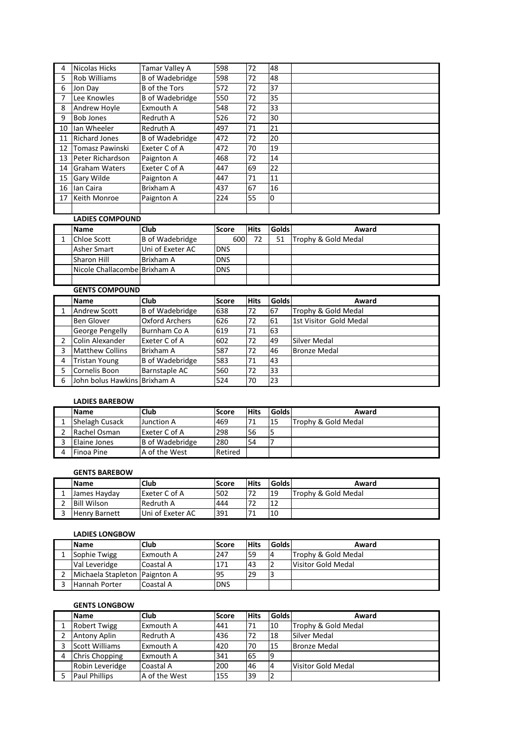| 4  | Nicolas Hicks        | Tamar Valley A         | 598 | 72 | 48 |
|----|----------------------|------------------------|-----|----|----|
| 5  | <b>Rob Williams</b>  | <b>B</b> of Wadebridge | 598 | 72 | 48 |
| 6  | Jon Dav              | <b>B</b> of the Tors   | 572 | 72 | 37 |
| 7  | Lee Knowles          | <b>B</b> of Wadebridge | 550 | 72 | 35 |
| 8  | <b>Andrew Hoyle</b>  | Exmouth A              | 548 | 72 | 33 |
| 9  | <b>Bob Jones</b>     | <b>Redruth A</b>       | 526 | 72 | 30 |
| 10 | lan Wheeler          | <b>Redruth A</b>       | 497 | 71 | 21 |
| 11 | <b>Richard Jones</b> | <b>B</b> of Wadebridge | 472 | 72 | 20 |
| 12 | Tomasz Pawinski      | Exeter C of A          | 472 | 70 | 19 |
| 13 | Peter Richardson     | Paignton A             | 468 | 72 | 14 |
| 14 | Graham Waters        | Exeter C of A          | 447 | 69 | 22 |
| 15 | <b>Gary Wilde</b>    | Paignton A             | 447 | 71 | 11 |
| 16 | lan Caira            | <b>Brixham A</b>       | 437 | 67 | 16 |
| 17 | Keith Monroe         | Paignton A             | 224 | 55 | l0 |
|    |                      |                        |     |    |    |

# **LADIES COMPOUND**

| <b>Name</b>                  | Club             | Score      | <b>Hits</b> | <b>Golds</b> | Award               |
|------------------------------|------------------|------------|-------------|--------------|---------------------|
| Chloe Scott                  | B of Wadebridge  | 600        | 72          | 51           | Trophy & Gold Medal |
| Asher Smart                  | Uni of Exeter AC | <b>DNS</b> |             |              |                     |
| Sharon Hill                  | Brixham A        | <b>DNS</b> |             |              |                     |
| Nicole Challacombe Brixham A |                  | <b>DNS</b> |             |              |                     |
|                              |                  |            |             |              |                     |

|               | <b>Name</b>                  | <b>Club</b>           | <b>Score</b> | <b>Hits</b> | <b>Golds</b> | Award                  |
|---------------|------------------------------|-----------------------|--------------|-------------|--------------|------------------------|
|               | Andrew Scott                 | B of Wadebridge       | 638          | 72          | 67           | Trophy & Gold Medal    |
|               | <b>Ben Glover</b>            | <b>Oxford Archers</b> | 626          | 72          | 61           | 1st Visitor Gold Medal |
|               | George Pengelly              | Burnham Co A          | 619          | 71          | 63           |                        |
| $\mathcal{P}$ | Colin Alexander              | Exeter C of A         | 602          | 72          | 49           | Silver Medal           |
| 3             | <b>Matthew Collins</b>       | Brixham A             | 587          | 72          | 46           | <b>Bronze Medal</b>    |
| 4             | <b>Tristan Young</b>         | B of Wadebridge       | 583          | 71          | 43           |                        |
| 5             | Cornelis Boon                | <b>Barnstaple AC</b>  | 560          | 72          | 33           |                        |
| 6             | John bolus Hawkins Brixham A |                       | 524          | -70         | 23           |                        |

# **LADIES BAREBOW**

| <b>Name</b>        | <b>Club</b>     | Score   | <b>Hits</b> | <b>Golds</b> | Award               |
|--------------------|-----------------|---------|-------------|--------------|---------------------|
| Shelagh Cusack     | Junction A      | 469     | 71          | 15           | Trophy & Gold Medal |
| Rachel Osman       | Exeter C of A   | 298     | 56          |              |                     |
| Elaine Jones       | B of Wadebridge | 280     | 54          |              |                     |
| <b>IFinoa Pine</b> | A of the West   | Retired |             |              |                     |

# **GENTS BAREBOW**

| <b>Name</b>          | Club             | Score | <b>Hits</b> | <b>Golds</b> | Award               |
|----------------------|------------------|-------|-------------|--------------|---------------------|
| lJames Havdav        | Exeter C of A    | 502   | 72          | 19           | Trophy & Gold Medal |
| <b>Bill Wilson</b>   | Redruth A        | 444   | 72          | 12           |                     |
| <b>Henry Barnett</b> | Uni of Exeter AC | 391   | 71          | 10           |                     |

# **LADIES LONGBOW**

| <b>Name</b>                   | <b>Club</b> | lScore     | <b>Hits</b> | <b>Golds</b>   | Award               |
|-------------------------------|-------------|------------|-------------|----------------|---------------------|
| Sophie Twigg                  | Exmouth A   | 247        | 59          | $\overline{4}$ | Trophy & Gold Medal |
| Val Leveridge                 | Coastal A   | 171        | <b>43</b>   |                | Visitor Gold Medal  |
| Michaela Stapleton Paignton A |             | '95        | 29          |                |                     |
| Hannah Porter                 | Coastal A   | <b>DNS</b> |             |                |                     |

# **GENTS LONGBOW**

| <b>Name</b>          | <b>Club</b>      | <b>Score</b> | <b>Hits</b> | <b>Golds</b>   | Award               |
|----------------------|------------------|--------------|-------------|----------------|---------------------|
| <b>Robert Twigg</b>  | Exmouth A        | 441          | 71          | 10             | Trophy & Gold Medal |
| <b>Antony Aplin</b>  | <b>Redruth A</b> | 436          | 72          | 18             | Silver Medal        |
| Scott Williams       | <b>Exmouth A</b> | 420          | 70          | 15             | <b>Bronze Medal</b> |
| Chris Chopping       | <b>Exmouth A</b> | 341          | 65          | 19             |                     |
| Robin Leveridge      | Coastal A        | 200          | 46          | $\overline{4}$ | Visitor Gold Medal  |
| <b>Paul Phillips</b> | A of the West    | 155          | 39          | っ              |                     |